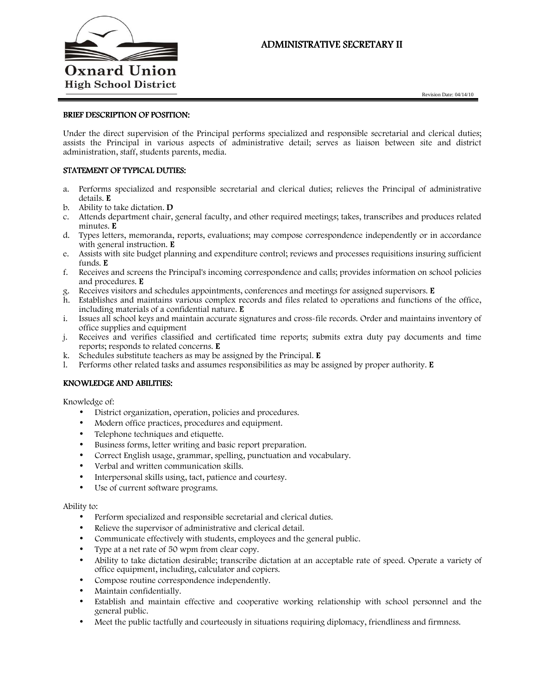

# ADMINISTRATIVE SECRETARY II

Revision Date: 04/14/10

### BRIEF DESCRIPTION OF POSITION:

Under the direct supervision of the Principal performs specialized and responsible secretarial and clerical duties; assists the Principal in various aspects of administrative detail; serves as liaison between site and district administration, staff, students parents, media.

# STATEMENT OF TYPICAL DUTIES:

- a. Performs specialized and responsible secretarial and clerical duties; relieves the Principal of administrative details. E
- b. Ability to take dictation. D
- c. Attends department chair, general faculty, and other required meetings; takes, transcribes and produces related minutes. E
- d. Types letters, memoranda, reports, evaluations; may compose correspondence independently or in accordance with general instruction. **E**
- e. Assists with site budget planning and expenditure control; reviews and processes requisitions insuring sufficient funds. E
- f. Receives and screens the Principal's incoming correspondence and calls; provides information on school policies and procedures. E
- g. Receives visitors and schedules appointments, conferences and meetings for assigned supervisors. E
- h. Establishes and maintains various complex records and files related to operations and functions of the office, including materials of a confidential nature. E
- i. Issues all school keys and maintain accurate signatures and cross-file records. Order and maintains inventory of office supplies and equipment
- j. Receives and verifies classified and certificated time reports; submits extra duty pay documents and time reports; responds to related concerns. E
- k. Schedules substitute teachers as may be assigned by the Principal. E
- l. Performs other related tasks and assumes responsibilities as may be assigned by proper authority. E

## KNOWLEDGE AND ABILITIES:

Knowledge of:

- District organization, operation, policies and procedures.
- Modern office practices, procedures and equipment.
- Telephone techniques and etiquette.
- Business forms, letter writing and basic report preparation.
- Correct English usage, grammar, spelling, punctuation and vocabulary.
- Verbal and written communication skills.
- Interpersonal skills using, tact, patience and courtesy.
- Use of current software programs.

#### Ability to:

- Perform specialized and responsible secretarial and clerical duties.
- Relieve the supervisor of administrative and clerical detail.
- Communicate effectively with students, employees and the general public.
- Type at a net rate of 50 wpm from clear copy.
- Ability to take dictation desirable; transcribe dictation at an acceptable rate of speed. Operate a variety of office equipment, including, calculator and copiers.
- Compose routine correspondence independently.
- Maintain confidentially.
- Establish and maintain effective and cooperative working relationship with school personnel and the general public.
- Meet the public tactfully and courteously in situations requiring diplomacy, friendliness and firmness.